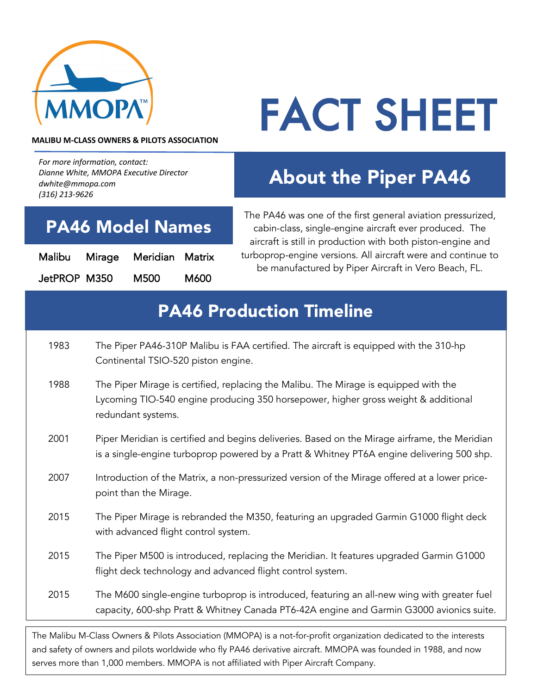

# FACT SHEET

#### **MALIBU M-CLASS OWNERS & PILOTS ASSOCIATION**

*For more information, contact: Dianne White, MMOPA Executive Director dwhite@mmopa.com (316) 213-9626*

## About the Piper PA46

#### PA46 Model Names

| Malibu Mirage | Meridian Matrix |      |
|---------------|-----------------|------|
| JetPROP M350  | M500            | M600 |

The PA46 was one of the first general aviation pressurized, cabin-class, single-engine aircraft ever produced. The aircraft is still in production with both piston-engine and turboprop-engine versions. All aircraft were and continue to be manufactured by Piper Aircraft in Vero Beach, FL.

### PA46 Production Timeline

- 1983 The Piper PA46-310P Malibu is FAA certified. The aircraft is equipped with the 310-hp Continental TSIO-520 piston engine.
- 1988 The Piper Mirage is certified, replacing the Malibu. The Mirage is equipped with the Lycoming TIO-540 engine producing 350 horsepower, higher gross weight & additional redundant systems.
- 2001 Piper Meridian is certified and begins deliveries. Based on the Mirage airframe, the Meridian is a single-engine turboprop powered by a Pratt & Whitney PT6A engine delivering 500 shp.
- 2007 Introduction of the Matrix, a non-pressurized version of the Mirage offered at a lower pricepoint than the Mirage.
- 2015 The Piper Mirage is rebranded the M350, featuring an upgraded Garmin G1000 flight deck with advanced flight control system.
- 2015 The Piper M500 is introduced, replacing the Meridian. It features upgraded Garmin G1000 flight deck technology and advanced flight control system.
- 2015 The M600 single-engine turboprop is introduced, featuring an all-new wing with greater fuel capacity, 600-shp Pratt & Whitney Canada PT6-42A engine and Garmin G3000 avionics suite.

The Malibu M-Class Owners & Pilots Association (MMOPA) is a not-for-profit organization dedicated to the interests and safety of owners and pilots worldwide who fly PA46 derivative aircraft. MMOPA was founded in 1988, and now serves more than 1,000 members. MMOPA is not affiliated with Piper Aircraft Company.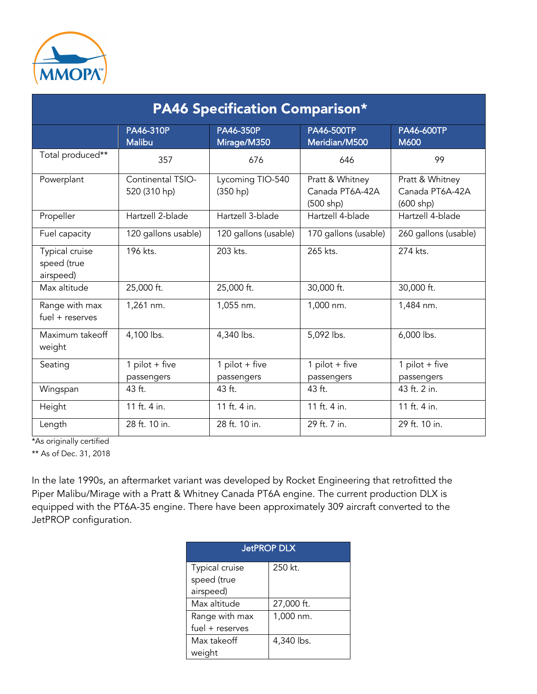

| <b>PA46 Specification Comparison*</b>      |                                   |                              |                                                   |                                                   |  |  |
|--------------------------------------------|-----------------------------------|------------------------------|---------------------------------------------------|---------------------------------------------------|--|--|
|                                            | PA46-310P<br><b>Malibu</b>        | PA46-350P<br>Mirage/M350     | <b>PA46-500TP</b><br>Meridian/M500                | PA46-600TP<br>M600                                |  |  |
| Total produced**                           | 357                               | 676                          | 646                                               | 99                                                |  |  |
| Powerplant                                 | Continental TSIO-<br>520 (310 hp) | Lycoming TIO-540<br>(350 hp) | Pratt & Whitney<br>Canada PT6A-42A<br>$(500$ shp) | Pratt & Whitney<br>Canada PT6A-42A<br>$(600$ shp) |  |  |
| Propeller                                  | Hartzell 2-blade                  | Hartzell 3-blade             | Hartzell 4-blade                                  | Hartzell 4-blade                                  |  |  |
| Fuel capacity                              | 120 gallons usable)               | 120 gallons (usable)         | 170 gallons (usable)                              | 260 gallons (usable)                              |  |  |
| Typical cruise<br>speed (true<br>airspeed) | 196 kts.                          | 203 kts.                     | 265 kts.                                          | 274 kts.                                          |  |  |
| Max altitude                               | 25,000 ft.                        | 25,000 ft.                   | 30,000 ft.                                        | 30,000 ft.                                        |  |  |
| Range with max<br>$fuel + reserves$        | 1,261 nm.                         | 1,055 nm.                    | 1,000 nm.                                         | 1,484 nm.                                         |  |  |
| Maximum takeoff<br>weight                  | 4,100 lbs.                        | 4,340 lbs.                   | 5,092 lbs.                                        | 6,000 lbs.                                        |  |  |
| Seating                                    | 1 pilot + five<br>passengers      | 1 pilot + five<br>passengers | 1 pilot + five<br>passengers                      | 1 pilot + five<br>passengers                      |  |  |
| Wingspan                                   | 43 ft.                            | 43 ft.                       | 43 ft.                                            | 43 ft. 2 in.                                      |  |  |
| Height                                     | 11 ft. 4 in.                      | 11 ft. 4 in.                 | 11 ft. 4 in.                                      | 11 ft. 4 in.                                      |  |  |
| Length                                     | 28 ft. 10 in.                     | 28 ft. 10 in.                | 29 ft. 7 in.                                      | 29 ft. 10 in.                                     |  |  |

\*As originally certified

\*\* As of Dec. 31, 2018

In the late 1990s, an aftermarket variant was developed by Rocket Engineering that retrofitted the Piper Malibu/Mirage with a Pratt & Whitney Canada PT6A engine. The current production DLX is equipped with the PT6A-35 engine. There have been approximately 309 aircraft converted to the JetPROP configuration.

| <b>JetPROP DLX</b> |            |  |  |  |
|--------------------|------------|--|--|--|
| Typical cruise     | 250 kt.    |  |  |  |
| speed (true        |            |  |  |  |
| airspeed)          |            |  |  |  |
| Max altitude       | 27,000 ft. |  |  |  |
| Range with max     | 1,000 nm.  |  |  |  |
| fuel + reserves    |            |  |  |  |
| Max takeoff        | 4,340 lbs. |  |  |  |
| weight             |            |  |  |  |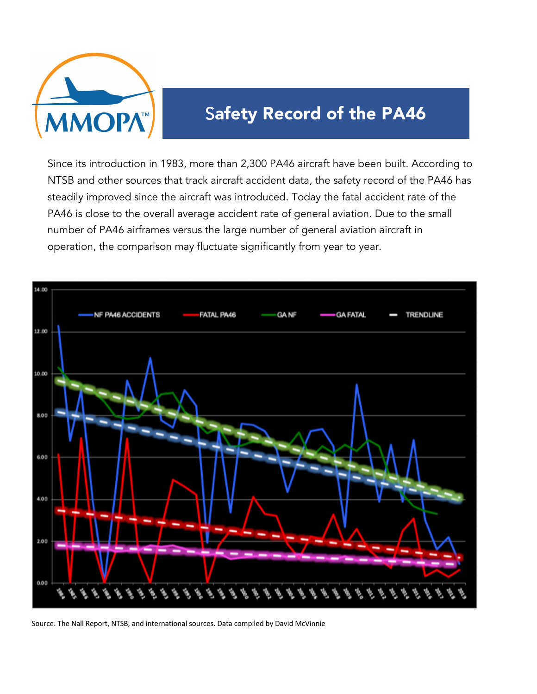

## Safety Record of the PA46

Since its introduction in 1983, more than 2,300 PA46 aircraft have been built. According to NTSB and other sources that track aircraft accident data, the safety record of the PA46 has steadily improved since the aircraft was introduced. Today the fatal accident rate of the PA46 is close to the overall average accident rate of general aviation. Due to the small number of PA46 airframes versus the large number of general aviation aircraft in operation, the comparison may fluctuate significantly from year to year.



Source: The Nall Report, NTSB, and international sources. Data compiled by David McVinnie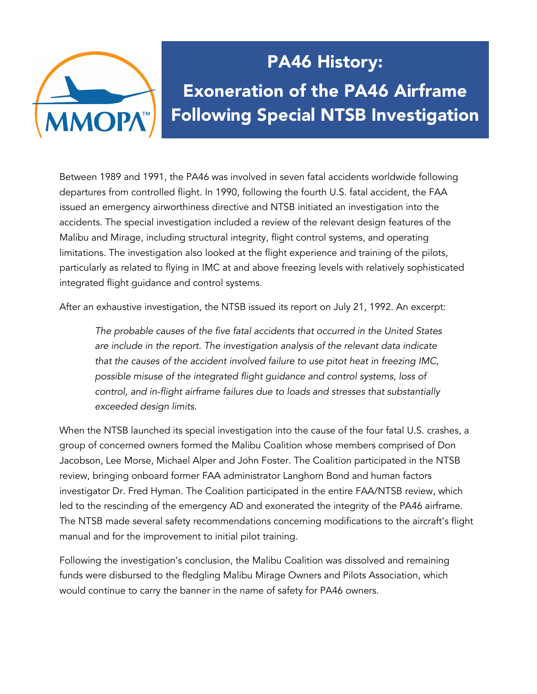

# PA46 History: Exoneration of the PA46 Airframe Following Special NTSB Investigation

Between 1989 and 1991, the PA46 was involved in seven fatal accidents worldwide following departures from controlled flight. In 1990, following the fourth U.S. fatal accident, the FAA issued an emergency airworthiness directive and NTSB initiated an investigation into the accidents. The special investigation included a review of the relevant design features of the Malibu and Mirage, including structural integrity, flight control systems, and operating limitations. The investigation also looked at the flight experience and training of the pilots, particularly as related to flying in IMC at and above freezing levels with relatively sophisticated integrated flight guidance and control systems.

After an exhaustive investigation, the NTSB issued its report on July 21, 1992. An excerpt:

*The probable causes of the five fatal accidents that occurred in the United States are include in the report. The investigation analysis of the relevant data indicate that the causes of the accident involved failure to use pitot heat in freezing IMC, possible misuse of the integrated flight guidance and control systems, loss of control, and in-flight airframe failures due to loads and stresses that substantially exceeded design limits.* 

When the NTSB launched its special investigation into the cause of the four fatal U.S. crashes, a group of concerned owners formed the Malibu Coalition whose members comprised of Don Jacobson, Lee Morse, Michael Alper and John Foster. The Coalition participated in the NTSB review, bringing onboard former FAA administrator Langhorn Bond and human factors investigator Dr. Fred Hyman. The Coalition participated in the entire FAA/NTSB review, which led to the rescinding of the emergency AD and exonerated the integrity of the PA46 airframe. The NTSB made several safety recommendations concerning modifications to the aircraft's flight manual and for the improvement to initial pilot training.

Following the investigation's conclusion, the Malibu Coalition was dissolved and remaining funds were disbursed to the fledgling Malibu Mirage Owners and Pilots Association, which would continue to carry the banner in the name of safety for PA46 owners.